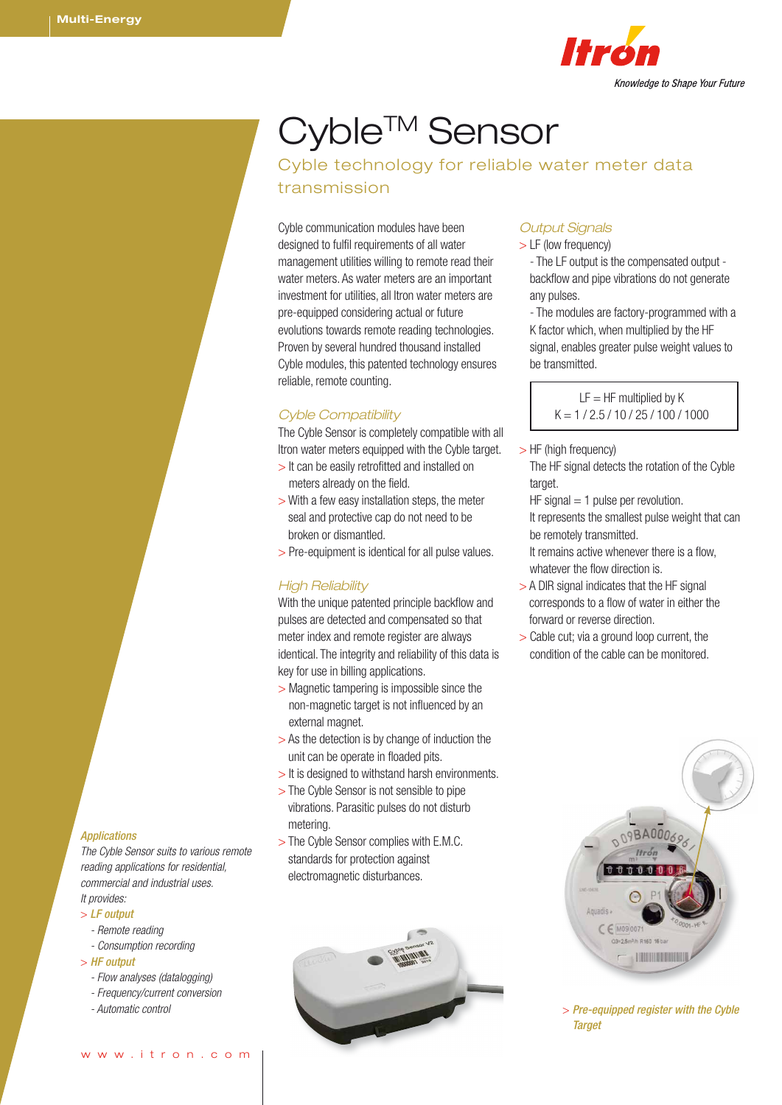

# Cyble™ Sensor

Cyble technology for reliable water meter data transmission

Cyble communication modules have been designed to fulfil requirements of all water management utilities willing to remote read their water meters. As water meters are an important investment for utilities, all Itron water meters are pre-equipped considering actual or future evolutions towards remote reading technologies. Proven by several hundred thousand installed Cyble modules, this patented technology ensures reliable, remote counting.

## *Cyble Compatibility*

The Cyble Sensor is completely compatible with all Itron water meters equipped with the Cyble target.

- > It can be easily retrofitted and installed on meters already on the field.
- > With a few easy installation steps, the meter seal and protective cap do not need to be broken or dismantled.
- > Pre-equipment is identical for all pulse values.

## *High Reliability*

With the unique patented principle backflow and pulses are detected and compensated so that meter index and remote register are always identical. The integrity and reliability of this data is key for use in billing applications.

- > Magnetic tampering is impossible since the non-magnetic target is not influenced by an external magnet.
- > As the detection is by change of induction the unit can be operate in floaded pits.
- > It is designed to withstand harsh environments.
- > The Cyble Sensor is not sensible to pipe vibrations. Parasitic pulses do not disturb metering.
- > The Cyble Sensor complies with E.M.C. standards for protection against electromagnetic disturbances.



## *Output Signals*

- > LF (low frequency)
	- The LF output is the compensated output backflow and pipe vibrations do not generate any pulses.

- The modules are factory-programmed with a K factor which, when multiplied by the HF signal, enables greater pulse weight values to be transmitted.

> $IF = HF$  multiplied by  $K$  $K = 1 / 2.5 / 10 / 25 / 100 / 1000$

- > HF (high frequency)
	- The HF signal detects the rotation of the Cyble target.
	- $HF$  signal  $= 1$  pulse per revolution.

It represents the smallest pulse weight that can be remotely transmitted.

It remains active whenever there is a flow, whatever the flow direction is.

- > A DIR signal indicates that the HF signal corresponds to a flow of water in either the forward or reverse direction.
- > Cable cut; via a ground loop current, the condition of the cable can be monitored.



*Target*

## *Applications*

*The Cyble Sensor suits to various remote reading applications for residential, commercial and industrial uses. It provides:*

- > *LF output*
- *Remote reading*
- *Consumption recording*
- > *HF output*
- *Flow analyses (datalogging)*
- *Frequency/current conversion*
-